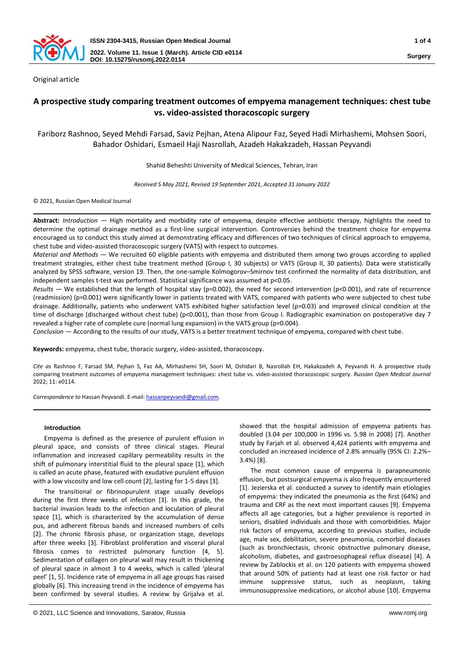

Original article

# **A prospective study comparing treatment outcomes of empyema management techniques: chest tube vs. video-assisted thoracoscopic surgery**

Fariborz Rashnoo, Seyed Mehdi Farsad, Saviz Pejhan, Atena Alipour Faz, Seyed Hadi Mirhashemi, Mohsen Soori, Bahador Oshidari, Esmaeil Haji Nasrollah, Azadeh Hakakzadeh, Hassan Peyvandi

Shahid Beheshti University of Medical Sciences, Tehran, Iran

*Received 5 May 2021, Revised 19 September 2021, Accepted 31 January 2022*

© 2021, Russian Open Medical Journal

**Abstract:** *Introduction —* High mortality and morbidity rate of empyema, despite effective antibiotic therapy, highlights the need to determine the optimal drainage method as a first-line surgical intervention. Controversies behind the treatment choice for empyema encouraged us to conduct this study aimed at demonstrating efficacy and differences of two techniques of clinical approach to empyema, chest tube and video-assisted thoracoscopic surgery (VATS) with respect to outcomes.

*Material and Methods —* We recruited 60 eligible patients with empyema and distributed them among two groups according to applied treatment strategies, either chest tube treatment method (Group I, 30 subjects) or VATS (Group II, 30 patients). Data were statistically analyzed by SPSS software, version 19. Then, the one-sample Kolmogorov–Smirnov test confirmed the normality of data distribution, and independent samples t-test was performed. Statistical significance was assumed at p<0.05.

*Results —* We established that the length of hospital stay (p=0.002), the need for second intervention (p<0.001), and rate of recurrence (readmission) (p=0.001) were significantly lower in patients treated with VATS, compared with patients who were subjected to chest tube drainage. Additionally, patients who underwent VATS exhibited higher satisfaction level (p=0.03) and improved clinical condition at the time of discharge (discharged without chest tube) (p<0.001), than those from Group I. Radiographic examination on postoperative day 7 revealed a higher rate of complete cure (normal lung expansion) in the VATS group (p=0.004).

*Conclusion —* According to the results of our study, VATS is a better treatment technique of empyema, compared with chest tube.

**Keywords:** empyema, chest tube, thoracic surgery, video-assisted, thoracoscopy.

*Cite as* Rashnoo F, Farsad SM, Pejhan S, Faz AA, Mirhashemi SH, Soori M, Oshidari B, Nasrollah EH, Hakakzadeh A, Peyvandi H. A prospective study comparing treatment outcomes of empyema management techniques: chest tube vs. video-assisted thoracoscopic surgery. *Russian Open Medical Journal* 2022; 11: e0114.

*Correspondence to* Hassan Peyvandi. E-mail[: hassanpeyvandi@gmail.com.](mailto:hassanpeyvandi@gmail.com)

# **Introduction**

Empyema is defined as the presence of purulent effusion in pleural space, and consists of three clinical stages. Pleural inflammation and increased capillary permeability results in the shift of pulmonary interstitial fluid to the pleural space [1], which is called an acute phase, featured with exudative purulent effusion with a low viscosity and low cell count [2], lasting for 1-5 days [3].

The transitional or fibrinopurulent stage usually develops during the first three weeks of infection [3]. In this grade, the bacterial invasion leads to the infection and loculation of pleural space [1], which is characterized by the accumulation of dense pus, and adherent fibrous bands and increased numbers of cells [2]. The chronic fibrosis phase, or organization stage, develops after three weeks [3]. Fibroblast proliferation and visceral plural fibrosis comes to restricted pulmonary function [4, 5]. Sedimentation of collagen on pleural wall may result in thickening of pleural space in almost 3 to 4 weeks, which is called 'pleural peel' [1, 5]. Incidence rate of empyema in all age groups has raised globally [6]. This increasing trend in the incidence of empyema has been confirmed by several studies. A review by Grijalva et al.

showed that the hospital admission of empyema patients has doubled (3.04 per 100,000 in 1996 vs. 5.98 in 2008) [7]. Another study by Farjah et al. observed 4,424 patients with empyema and concluded an increased incidence of 2.8% annually (95% CI: 2.2%– 3.4%) [8].

The most common cause of empyema is parapneumonic effusion, but postsurgical empyema is also frequently encountered [1]. Jezierska et al. conducted a survey to identify main etiologies of empyema: they indicated the pneumonia as the first (64%) and trauma and CRF as the next most important causes [9]. Empyema affects all age categories, but a higher prevalence is reported in seniors, disabled individuals and those with comorbidities. Major risk factors of empyema, according to previous studies, include age, male sex, debilitation, severe pneumonia, comorbid diseases (such as bronchiectasis, chronic obstructive pulmonary disease, alcoholism, diabetes, and gastroesophageal reflux disease) [4]. A review by Zablockis et al. on 120 patients with empyema showed that around 50% of patients had at least one risk factor or had immune suppressive status, such as neoplasm, taking immunosuppressive medications, or alcohol abuse [10]. Empyema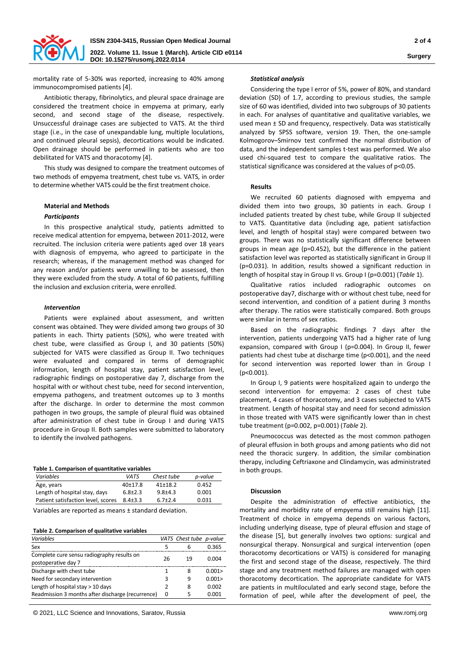

mortality rate of 5-30% was reported, increasing to 40% among immunocompromised patients [4].

Antibiotic therapy, fibrinolytics, and pleural space drainage are considered the treatment choice in empyema at primary, early second, and second stage of the disease, respectively. Unsuccessful drainage cases are subjected to VATS. At the third stage (i.e., in the case of unexpandable lung, multiple loculations, and continued pleural sepsis), decortications would be indicated. Open drainage should be performed in patients who are too debilitated for VATS and thoracotomy [4].

This study was designed to compare the treatment outcomes of two methods of empyema treatment, chest tube vs. VATS, in order to determine whether VATS could be the first treatment choice.

# **Material and Methods**

# *Participants*

In this prospective analytical study, patients admitted to receive medical attention for empyema, between 2011-2012, were recruited. The inclusion criteria were patients aged over 18 years with diagnosis of empyema, who agreed to participate in the research; whereas, if the management method was changed for any reason and/or patients were unwilling to be assessed, then they were excluded from the study. A total of 60 patients, fulfilling the inclusion and exclusion criteria, were enrolled.

# *Intervention*

Patients were explained about assessment, and written consent was obtained. They were divided among two groups of 30 patients in each. Thirty patients (50%), who were treated with chest tube, were classified as Group I, and 30 patients (50%) subjected for VATS were classified as Group II. Two techniques were evaluated and compared in terms of demographic information, length of hospital stay, patient satisfaction level, radiographic findings on postoperative day 7, discharge from the hospital with or without chest tube, need for second intervention, empyema pathogens, and treatment outcomes up to 3 months after the discharge. In order to determine the most common pathogen in two groups, the sample of pleural fluid was obtained after administration of chest tube in Group I and during VATS procedure in Group II. Both samples were submitted to laboratory to identify the involved pathogens.

|  | Table 1. Comparison of quantitative variables |  |
|--|-----------------------------------------------|--|
|  |                                               |  |

| <b>Variables</b>                   | VATS          | Chest tube  | p-value |
|------------------------------------|---------------|-------------|---------|
| Age, years                         | $40+17.8$     | $41+18.2$   | 0.452   |
| Length of hospital stay, days      | $6.8 \pm 2.3$ | $9.8 + 4.3$ | 0.001   |
| Patient satisfaction level, scores | $8.4 + 3.3$   | $6.7 + 2.4$ | 0.031   |

Variables are reported as means ± standard deviation.

#### **Table 2. Comparison of qualitative variables**

| Variables                                                         |    | VATS Chest tube p-value |       |
|-------------------------------------------------------------------|----|-------------------------|-------|
| Sex                                                               | 5  | 6                       | 0.365 |
| Complete cure sensu radiography results on<br>postoperative day 7 | 26 | 19                      | 0.004 |
| Discharge with chest tube                                         |    | 8                       | 0.001 |
| Need for secondary intervention                                   | 3  | 9                       | 0.001 |
| Length of hospital stay $> 10$ days                               | 2  | 8                       | 0.002 |
| Readmission 3 months after discharge (recurrence)                 | 0  | 5                       | 0.001 |

© 2021, LLC Science and Innovations, Saratov, Russia www.romj.org

#### *Statistical analysis*

Considering the type I error of 5%, power of 80%, and standard deviation (SD) of 1.7, according to previous studies, the sample size of 60 was identified, divided into two subgroups of 30 patients in each. For analyses of quantitative and qualitative variables, we used mean ± SD and frequency, respectively. Data was statistically analyzed by SPSS software, version 19. Then, the one-sample Kolmogorov–Smirnov test confirmed the normal distribution of data, and the independent samples t-test was performed. We also used chi-squared test to compare the qualitative ratios. The statistical significance was considered at the values of p<0.05.

#### **Results**

We recruited 60 patients diagnosed with empyema and divided them into two groups, 30 patients in each. Group I included patients treated by chest tube, while Group II subjected to VATS. Quantitative data (including age, patient satisfaction level, and length of hospital stay) were compared between two groups. There was no statistically significant difference between groups in mean age (p=0.452), but the difference in the patient satisfaction level was reported as statistically significant in Group II (p=0.031). In addition, results showed a significant reduction in length of hospital stay in Group II vs. Group I (p=0.001) (*Table* 1).

Qualitative ratios included radiographic outcomes on postoperative day7, discharge with or without chest tube, need for second intervention, and condition of a patient during 3 months after therapy. The ratios were statistically compared. Both groups were similar in terms of sex ratios.

Based on the radiographic findings 7 days after the intervention, patients undergoing VATS had a higher rate of lung expansion, compared with Group I (p=0.004). In Group II, fewer patients had chest tube at discharge time (p<0.001), and the need for second intervention was reported lower than in Group I (p<0.001).

In Group I, 9 patients were hospitalized again to undergo the second intervention for empyema: 2 cases of chest tube placement, 4 cases of thoracotomy, and 3 cases subjected to VATS treatment. Length of hospital stay and need for second admission in those treated with VATS were significantly lower than in chest tube treatment (p=0.002, p=0.001) (*Table* 2).

Pneumococcus was detected as the most common pathogen of pleural effusion in both groups and among patients who did not need the thoracic surgery. In addition, the similar combination therapy, including Ceftriaxone and Clindamycin, was administrated in both groups.

## **Discussion**

Despite the administration of effective antibiotics, the mortality and morbidity rate of empyema still remains high [11]. Treatment of choice in empyema depends on various factors, including underlying disease, type of pleural effusion and stage of the disease [5], but generally involves two options: surgical and nonsurgical therapy. Nonsurgical and surgical intervention (open thoracotomy decortications or VATS) is considered for managing the first and second stage of the disease, respectively. The third stage and any treatment method failures are managed with open thoracotomy decortication. The appropriate candidate for VATS are patients in multiloculated and early second stage, before the formation of peel, while after the development of peel, the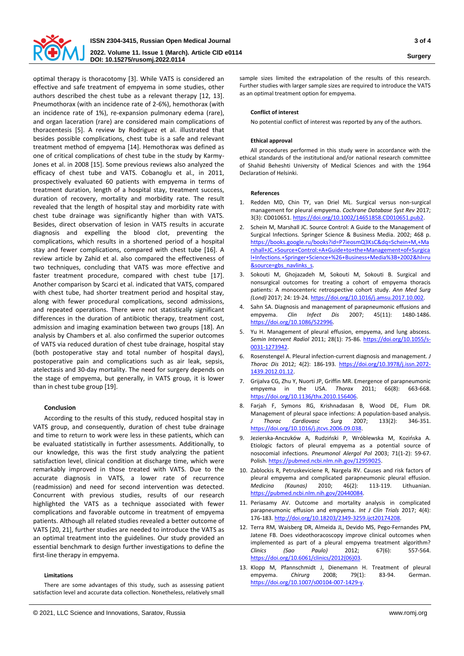

optimal therapy is thoracotomy [3]. While VATS is considered an effective and safe treatment of empyema in some studies, other authors described the chest tube as a relevant therapy [12, 13]. Pneumothorax (with an incidence rate of 2-6%), hemothorax (with an incidence rate of 1%), re-expansion pulmonary edema (rare), and organ laceration (rare) are considered main complications of thoracentesis [5]. A review by Rodriguez et al. illustrated that besides possible complications, chest tube is a safe and relevant treatment method of empyema [14]. Hemothorax was defined as one of critical complications of chest tube in the study by Karmy-Jones et al. in 2008 [15]. Some previous reviews also analyzed the efficacy of chest tube and VATS. Cobanoglu et al., in 2011, prospectively evaluated 60 patients with empyema in terms of treatment duration, length of a hospital stay, treatment success, duration of recovery, mortality and morbidity rate. The result revealed that the length of hospital stay and morbidity rate with chest tube drainage was significantly higher than with VATS. Besides, direct observation of lesion in VATS results in accurate diagnosis and expelling the blood clot, preventing the complications, which results in a shortened period of a hospital stay and fewer complications, compared with chest tube [16]. A review article by Zahid et al. also compared the effectiveness of two techniques, concluding that VATS was more effective and faster treatment procedure, compared with chest tube [17]. Another comparison by Scarci et al. indicated that VATS, compared with chest tube, had shorter treatment period and hospital stay, along with fewer procedural complications, second admissions, and repeated operations. There were not statistically significant differences in the duration of antibiotic therapy, treatment cost, admission and imaging examination between two groups [18]. An analysis by Chambers et al. also confirmed the superior outcomes of VATS via reduced duration of chest tube drainage, hospital stay (both postoperative stay and total number of hospital days), postoperative pain and complications such as air leak, sepsis, atelectasis and 30-day mortality. The need for surgery depends on the stage of empyema, but generally, in VATS group, it is lower than in chest tube group [19].

# **Conclusion**

According to the results of this study, reduced hospital stay in VATS group, and consequently, duration of chest tube drainage and time to return to work were less in these patients, which can be evaluated statistically in further assessments. Additionally, to our knowledge, this was the first study analyzing the patient satisfaction level, clinical condition at discharge time, which were remarkably improved in those treated with VATS. Due to the accurate diagnosis in VATS, a lower rate of recurrence (readmission) and need for second intervention was detected. Concurrent with previous studies, results of our research highlighted the VATS as a technique associated with fewer complications and favorable outcome in treatment of empyema patients. Although all related studies revealed a better outcome of VATS [20, 21], further studies are needed to introduce the VATS as an optimal treatment into the guidelines. Our study provided an essential benchmark to design further investigations to define the first-line therapy in empyema.

## **Limitations**

There are some advantages of this study, such as assessing patient satisfaction level and accurate data collection. Nonetheless, relatively small sample sizes limited the extrapolation of the results of this research. Further studies with larger sample sizes are required to introduce the VATS as an optimal treatment option for empyema.

#### **Conflict of interest**

No potential conflict of interest was reported by any of the authors.

### **Ethical approval**

All procedures performed in this study were in accordance with the ethical standards of the institutional and/or national research committee of Shahid Beheshti University of Medical Sciences and with the 1964 Declaration of Helsinki.

## **References**

- 1. Redden MD, Chin TY, van Driel ML. Surgical versus non-surgical management for pleural empyema. *Cochrane Database Syst Rev* 2017; 3(3): CD010651[. https://doi.org/10.1002/14651858.CD010651.pub2.](https://doi.org/10.1002/14651858.CD010651.pub2)
- 2. Schein M, Marshall JC. Source Control: A Guide to the Management of Surgical Infections. Springer Science & Business Media. 2002; 468 p. [https://books.google.ru/books?id=P7ieosmQ3KsC&dq=Schein+M,+Ma](https://books.google.ru/books?id=P7ieosmQ3KsC&dq=Schein+M,+Marshall+JC.+Source+Control:+A+Guide+to+the+Management+of+Surgical+Infections.+Springer+Science+%26+Business+Media%3B+2002&hl=ru&source=gbs_navlinks_s) [rshall+JC.+Source+Control:+A+Guide+to+the+Management+of+Surgica](https://books.google.ru/books?id=P7ieosmQ3KsC&dq=Schein+M,+Marshall+JC.+Source+Control:+A+Guide+to+the+Management+of+Surgical+Infections.+Springer+Science+%26+Business+Media%3B+2002&hl=ru&source=gbs_navlinks_s) [l+Infections.+Springer+Science+%26+Business+Media%3B+2002&hl=ru](https://books.google.ru/books?id=P7ieosmQ3KsC&dq=Schein+M,+Marshall+JC.+Source+Control:+A+Guide+to+the+Management+of+Surgical+Infections.+Springer+Science+%26+Business+Media%3B+2002&hl=ru&source=gbs_navlinks_s) [&source=gbs\\_navlinks\\_s.](https://books.google.ru/books?id=P7ieosmQ3KsC&dq=Schein+M,+Marshall+JC.+Source+Control:+A+Guide+to+the+Management+of+Surgical+Infections.+Springer+Science+%26+Business+Media%3B+2002&hl=ru&source=gbs_navlinks_s)
- 3. Sokouti M, Ghojazadeh M, Sokouti M, Sokouti B. Surgical and nonsurgical outcomes for treating a cohort of empyema thoracis patients: A monocenteric retrospective cohort study. *Ann Med Surg (Lond)* 2017; 24: 19-24[. https://doi.org/10.1016/j.amsu.2017.10.002.](https://doi.org/10.1016/j.amsu.2017.10.002)
- 4. Sahn SA. Diagnosis and management of parapneumonic effusions and empyema. *Clin Infect Dis* 2007; 45(11): 1480-1486. [https://doi.org/10.1086/522996.](https://doi.org/10.1086/522996)
- 5. Yu H. Management of pleural effusion, empyema, and lung abscess. *Semin Intervent Radiol* 2011; 28(1): 75-86. [https://doi.org/10.1055/s-](https://doi.org/10.1055/s-0031-1273942)[0031-1273942.](https://doi.org/10.1055/s-0031-1273942)
- 6. Rosenstengel A. Pleural infection-current diagnosis and management. *J Thorac Dis* 2012; 4(2): 186-193. [https://doi.org/10.3978/j.issn.2072-](https://doi.org/10.3978/j.issn.2072-1439.2012.01.12) [1439.2012.01.12.](https://doi.org/10.3978/j.issn.2072-1439.2012.01.12)
- 7. Grijalva CG, Zhu Y, Nuorti JP, Griffin MR. Emergence of parapneumonic empyema in the USA. *Thorax* 2011; 66(8): 663-668. [https://doi.org/10.1136/thx.2010.156406.](https://doi.org/10.1136/thx.2010.156406)
- 8. Farjah F, Symons RG, Krishnadasan B, Wood DE, Flum DR. Management of pleural space infections: A population-based analysis. *J Thorac Cardiovasc Surg* 2007; 133(2): 346-351. [https://doi.org/10.1016/j.jtcvs.2006.09.038.](https://doi.org/10.1016/j.jtcvs.2006.09.038)
- 9. Jezierska-Anczuków A, Rudziński P, Wróblewska M, Kozińska A. Etiologic factors of pleural empyema as a potential source of nosocomial infections. *Pneumonol Alergol Pol* 2003; 71(1-2): 59-67. Polish. [https://pubmed.ncbi.nlm.nih.gov/12959025.](https://pubmed.ncbi.nlm.nih.gov/12959025)
- 10. Zablockis R, Petruskeviciene R, Nargela RV. Causes and risk factors of pleural empyema and complicated parapneumonic pleural effusion. *Medicina (Kaunas)* 2010; 46(2): 113-119. Lithuanian. [https://pubmed.ncbi.nlm.nih.gov/20440084.](https://pubmed.ncbi.nlm.nih.gov/20440084)
- 11. Periasamy AV. Outcome and mortality analysis in complicated parapneumonic effusion and empyema. *Int J Clin Trials* 2017; 4(4): 176-183[. http://doi.org/10.18203/2349-3259.ijct20174208.](http://doi.org/10.18203/2349-3259.ijct20174208)
- 12. Terra RM, Waisberg DR, Almeida JL, Devido MS, Pego-Fernandes PM, Jatene FB. Does videothoracoscopy improve clinical outcomes when implemented as part of a pleural empyema treatment algorithm? *Clinics (Sao Paulo)* 2012; 67(6): 557-564. [https://doi.org/10.6061/clinics/2012\(06\)03.](https://doi.org/10.6061/clinics/2012(06)03)
- 13. Klopp M, Pfannschmidt J, Dienemann H. Treatment of pleural empyema. *Chirurg* 2008; 79(1): 83-94. German. [https://doi.org/10.1007/s00104-007-1429-y.](https://doi.org/10.1007/s00104-007-1429-y)